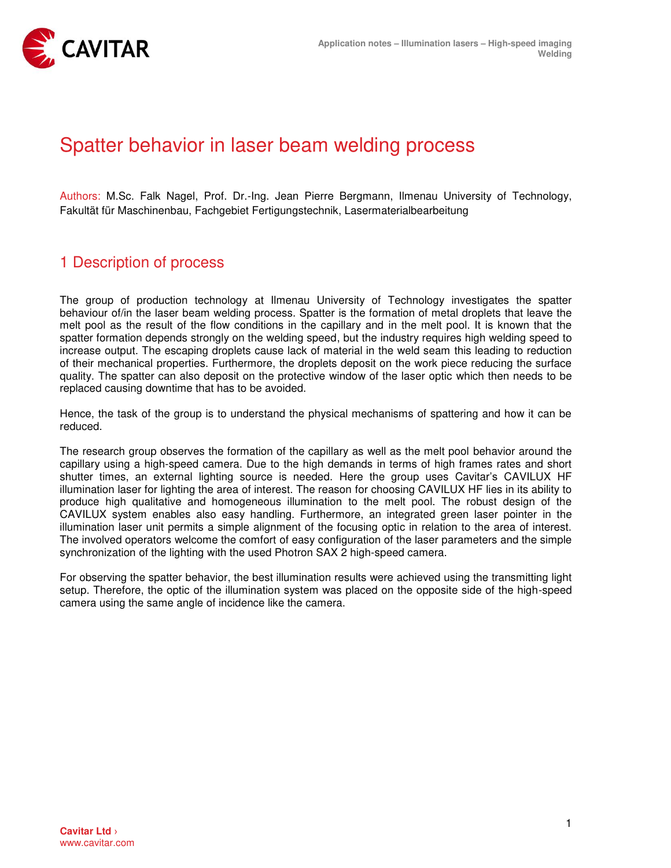

## Spatter behavior in laser beam welding process

Authors: M.Sc. Falk Nagel, Prof. Dr.-Ing. Jean Pierre Bergmann, Ilmenau University of Technology, Fakultät für Maschinenbau, Fachgebiet Fertigungstechnik, Lasermaterialbearbeitung

## 1 Description of process

The group of production technology at Ilmenau University of Technology investigates the spatter behaviour of/in the laser beam welding process. Spatter is the formation of metal droplets that leave the melt pool as the result of the flow conditions in the capillary and in the melt pool. It is known that the spatter formation depends strongly on the welding speed, but the industry requires high welding speed to increase output. The escaping droplets cause lack of material in the weld seam this leading to reduction of their mechanical properties. Furthermore, the droplets deposit on the work piece reducing the surface quality. The spatter can also deposit on the protective window of the laser optic which then needs to be replaced causing downtime that has to be avoided.

Hence, the task of the group is to understand the physical mechanisms of spattering and how it can be reduced.

The research group observes the formation of the capillary as well as the melt pool behavior around the capillary using a high-speed camera. Due to the high demands in terms of high frames rates and short shutter times, an external lighting source is needed. Here the group uses Cavitar's CAVILUX HF illumination laser for lighting the area of interest. The reason for choosing CAVILUX HF lies in its ability to produce high qualitative and homogeneous illumination to the melt pool. The robust design of the CAVILUX system enables also easy handling. Furthermore, an integrated green laser pointer in the illumination laser unit permits a simple alignment of the focusing optic in relation to the area of interest. The involved operators welcome the comfort of easy configuration of the laser parameters and the simple synchronization of the lighting with the used Photron SAX 2 high-speed camera.

For observing the spatter behavior, the best illumination results were achieved using the transmitting light setup. Therefore, the optic of the illumination system was placed on the opposite side of the high-speed camera using the same angle of incidence like the camera.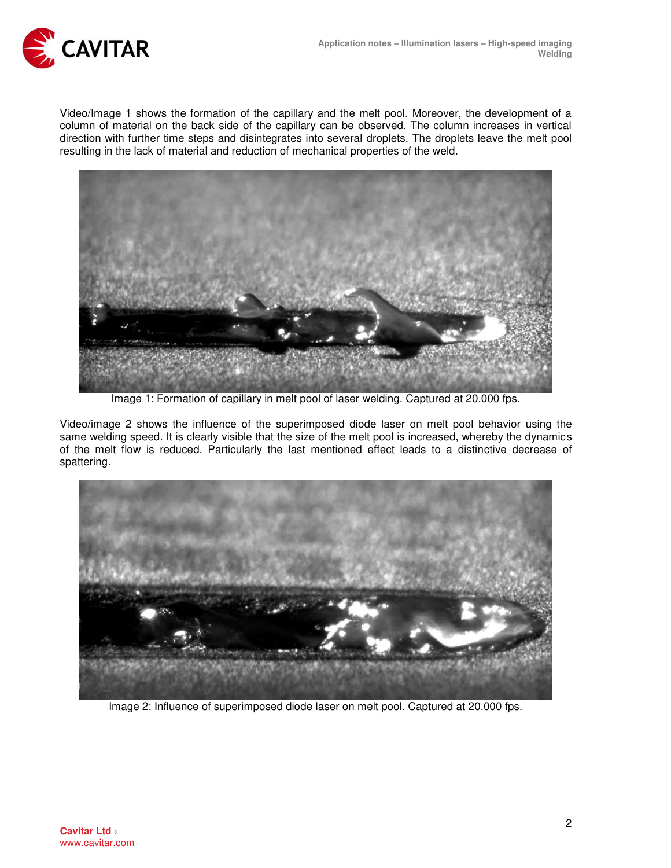

Video/Image 1 shows the formation of the capillary and the melt pool. Moreover, the development of a column of material on the back side of the capillary can be observed. The column increases in vertical direction with further time steps and disintegrates into several droplets. The droplets leave the melt pool resulting in the lack of material and reduction of mechanical properties of the weld.



Image 1: Formation of capillary in melt pool of laser welding. Captured at 20.000 fps.

Video/image 2 shows the influence of the superimposed diode laser on melt pool behavior using the same welding speed. It is clearly visible that the size of the melt pool is increased, whereby the dynamics of the melt flow is reduced. Particularly the last mentioned effect leads to a distinctive decrease of spattering.



Image 2: Influence of superimposed diode laser on melt pool. Captured at 20.000 fps.